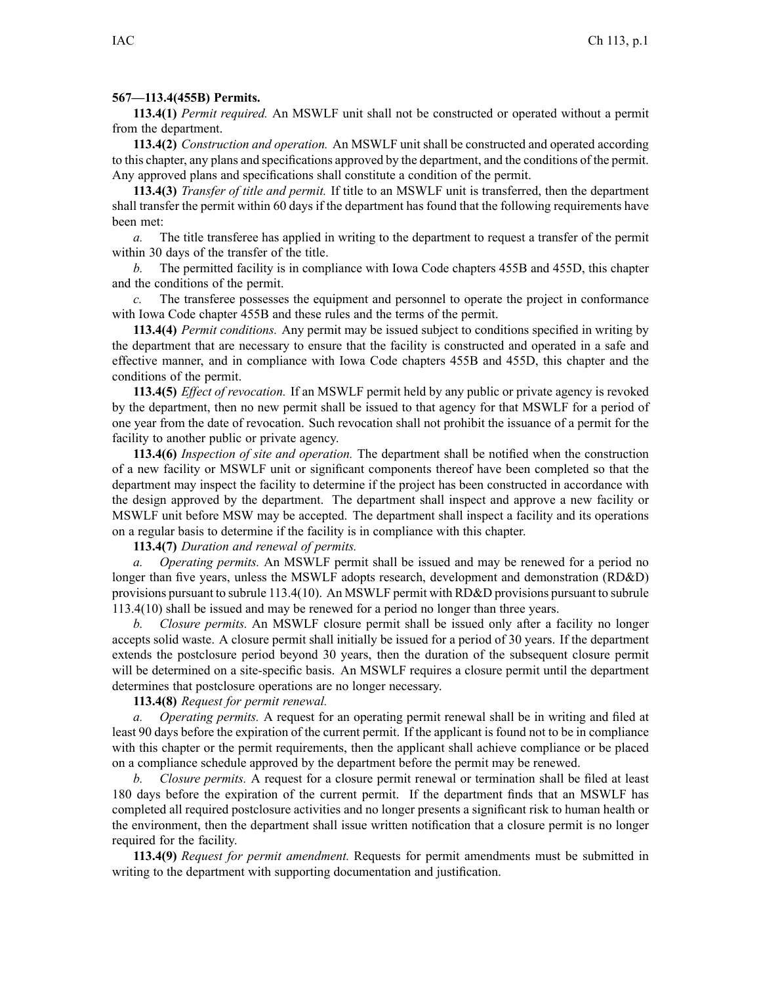## **567—113.4(455B) Permits.**

**113.4(1)** *Permit required.* An MSWLF unit shall not be constructed or operated without <sup>a</sup> permit from the department.

**113.4(2)** *Construction and operation.* An MSWLF unit shall be constructed and operated according to this chapter, any plans and specifications approved by the department, and the conditions of the permit. Any approved plans and specifications shall constitute <sup>a</sup> condition of the permit.

**113.4(3)** *Transfer of title and permit.* If title to an MSWLF unit is transferred, then the department shall transfer the permit within 60 days if the department has found that the following requirements have been met:

*a.* The title transferee has applied in writing to the department to reques<sup>t</sup> <sup>a</sup> transfer of the permit within 30 days of the transfer of the title.

*b.* The permitted facility is in compliance with Iowa Code chapters 455B and 455D, this chapter and the conditions of the permit.

*c.* The transferee possesses the equipment and personnel to operate the project in conformance with Iowa Code chapter 455B and these rules and the terms of the permit.

**113.4(4)** *Permit conditions.* Any permit may be issued subject to conditions specified in writing by the department that are necessary to ensure that the facility is constructed and operated in <sup>a</sup> safe and effective manner, and in compliance with Iowa Code chapters 455B and 455D, this chapter and the conditions of the permit.

**113.4(5)** *Effect of revocation.* If an MSWLF permit held by any public or private agency is revoked by the department, then no new permit shall be issued to that agency for that MSWLF for <sup>a</sup> period of one year from the date of revocation. Such revocation shall not prohibit the issuance of <sup>a</sup> permit for the facility to another public or private agency.

**113.4(6)** *Inspection of site and operation.* The department shall be notified when the construction of <sup>a</sup> new facility or MSWLF unit or significant components thereof have been completed so that the department may inspect the facility to determine if the project has been constructed in accordance with the design approved by the department. The department shall inspect and approve <sup>a</sup> new facility or MSWLF unit before MSW may be accepted. The department shall inspect <sup>a</sup> facility and its operations on <sup>a</sup> regular basis to determine if the facility is in compliance with this chapter.

## **113.4(7)** *Duration and renewal of permits.*

*a. Operating permits.* An MSWLF permit shall be issued and may be renewed for <sup>a</sup> period no longer than five years, unless the MSWLF adopts research, development and demonstration (RD&D) provisions pursuan<sup>t</sup> to subrule 113.4(10). An MSWLF permit with RD&D provisions pursuan<sup>t</sup> to subrule 113.4(10) shall be issued and may be renewed for <sup>a</sup> period no longer than three years.

*b. Closure permits.* An MSWLF closure permit shall be issued only after <sup>a</sup> facility no longer accepts solid waste. A closure permit shall initially be issued for <sup>a</sup> period of 30 years. If the department extends the postclosure period beyond 30 years, then the duration of the subsequent closure permit will be determined on <sup>a</sup> site-specific basis. An MSWLF requires <sup>a</sup> closure permit until the department determines that postclosure operations are no longer necessary.

**113.4(8)** *Request for permit renewal.*

*a. Operating permits.* A reques<sup>t</sup> for an operating permit renewal shall be in writing and filed at least 90 days before the expiration of the current permit. If the applicant is found not to be in compliance with this chapter or the permit requirements, then the applicant shall achieve compliance or be placed on <sup>a</sup> compliance schedule approved by the department before the permit may be renewed.

*b. Closure permits.* A reques<sup>t</sup> for <sup>a</sup> closure permit renewal or termination shall be filed at least 180 days before the expiration of the current permit. If the department finds that an MSWLF has completed all required postclosure activities and no longer presents <sup>a</sup> significant risk to human health or the environment, then the department shall issue written notification that <sup>a</sup> closure permit is no longer required for the facility.

**113.4(9)** *Request for permit amendment.* Requests for permit amendments must be submitted in writing to the department with supporting documentation and justification.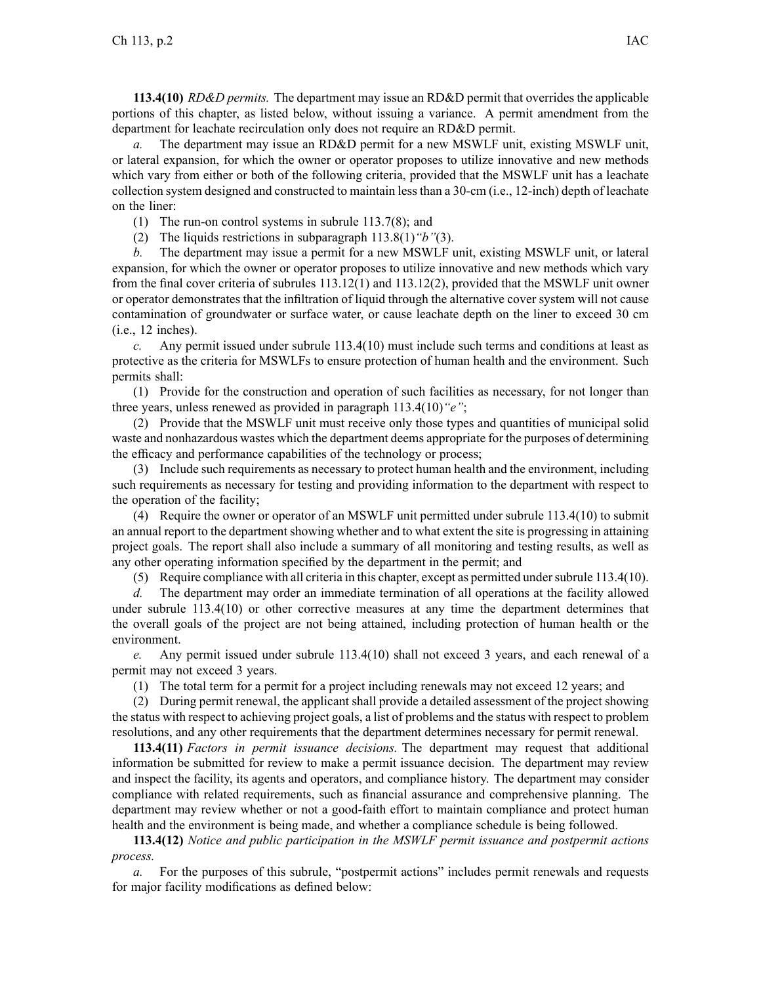**113.4(10)** *RD&D permits.* The department may issue an RD&D permit that overrides the applicable portions of this chapter, as listed below, without issuing <sup>a</sup> variance. A permit amendment from the department for leachate recirculation only does not require an RD&D permit.

*a.* The department may issue an RD&D permit for <sup>a</sup> new MSWLF unit, existing MSWLF unit, or lateral expansion, for which the owner or operator proposes to utilize innovative and new methods which vary from either or both of the following criteria, provided that the MSWLF unit has a leachate collection system designed and constructed to maintain less than <sup>a</sup> 30-cm (i.e., 12-inch) depth of leachate on the liner:

(1) The run-on control systems in subrule 113.7(8); and

(2) The liquids restrictions in subparagraph 113.8(1)*"b"*(3).

*b.* The department may issue <sup>a</sup> permit for <sup>a</sup> new MSWLF unit, existing MSWLF unit, or lateral expansion, for which the owner or operator proposes to utilize innovative and new methods which vary from the final cover criteria of subrules 113.12(1) and 113.12(2), provided that the MSWLF unit owner or operator demonstrates that the infiltration of liquid through the alternative cover system will not cause contamination of groundwater or surface water, or cause leachate depth on the liner to exceed 30 cm (i.e., 12 inches).

*c.* Any permit issued under subrule 113.4(10) must include such terms and conditions at least as protective as the criteria for MSWLFs to ensure protection of human health and the environment. Such permits shall:

(1) Provide for the construction and operation of such facilities as necessary, for not longer than three years, unless renewed as provided in paragraph 113.4(10)*"e"*;

(2) Provide that the MSWLF unit must receive only those types and quantities of municipal solid waste and nonhazardous wastes which the department deems appropriate for the purposes of determining the efficacy and performance capabilities of the technology or process;

(3) Include such requirements as necessary to protect human health and the environment, including such requirements as necessary for testing and providing information to the department with respec<sup>t</sup> to the operation of the facility;

(4) Require the owner or operator of an MSWLF unit permitted under subrule 113.4(10) to submit an annual repor<sup>t</sup> to the department showing whether and to what extent the site is progressing in attaining project goals. The repor<sup>t</sup> shall also include <sup>a</sup> summary of all monitoring and testing results, as well as any other operating information specified by the department in the permit; and

(5) Require compliance with all criteria in this chapter, excep<sup>t</sup> as permitted undersubrule 113.4(10).

*d.* The department may order an immediate termination of all operations at the facility allowed under subrule 113.4(10) or other corrective measures at any time the department determines that the overall goals of the project are not being attained, including protection of human health or the environment.

*e.* Any permit issued under subrule 113.4(10) shall not exceed 3 years, and each renewal of <sup>a</sup> permit may not exceed 3 years.

(1) The total term for <sup>a</sup> permit for <sup>a</sup> project including renewals may not exceed 12 years; and

(2) During permit renewal, the applicant shall provide <sup>a</sup> detailed assessment of the project showing the status with respec<sup>t</sup> to achieving project goals, <sup>a</sup> list of problems and the status with respec<sup>t</sup> to problem resolutions, and any other requirements that the department determines necessary for permit renewal.

**113.4(11)** *Factors in permit issuance decisions.* The department may reques<sup>t</sup> that additional information be submitted for review to make <sup>a</sup> permit issuance decision. The department may review and inspect the facility, its agents and operators, and compliance history. The department may consider compliance with related requirements, such as financial assurance and comprehensive planning. The department may review whether or not <sup>a</sup> good-faith effort to maintain compliance and protect human health and the environment is being made, and whether <sup>a</sup> compliance schedule is being followed.

**113.4(12)** *Notice and public participation in the MSWLF permit issuance and postpermit actions process.*

*a.* For the purposes of this subrule, "postpermit actions" includes permit renewals and requests for major facility modifications as defined below: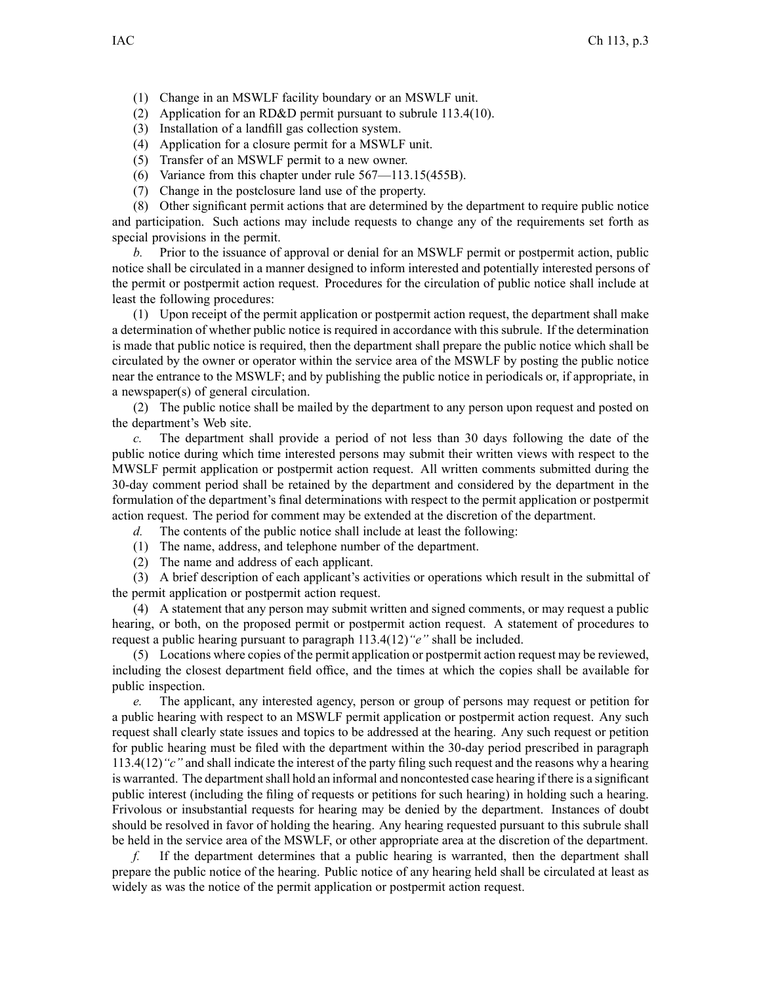(1) Change in an MSWLF facility boundary or an MSWLF unit.

- (2) Application for an RD&D permit pursuan<sup>t</sup> to subrule 113.4(10).
- (3) Installation of <sup>a</sup> landfill gas collection system.
- (4) Application for <sup>a</sup> closure permit for <sup>a</sup> MSWLF unit.
- (5) Transfer of an MSWLF permit to <sup>a</sup> new owner.
- (6) Variance from this chapter under rule 567—113.15(455B).
- (7) Change in the postclosure land use of the property.

(8) Other significant permit actions that are determined by the department to require public notice and participation. Such actions may include requests to change any of the requirements set forth as special provisions in the permit.

*b.* Prior to the issuance of approval or denial for an MSWLF permit or postpermit action, public notice shall be circulated in <sup>a</sup> manner designed to inform interested and potentially interested persons of the permit or postpermit action request. Procedures for the circulation of public notice shall include at least the following procedures:

(1) Upon receipt of the permit application or postpermit action request, the department shall make <sup>a</sup> determination of whether public notice is required in accordance with this subrule. If the determination is made that public notice is required, then the department shall prepare the public notice which shall be circulated by the owner or operator within the service area of the MSWLF by posting the public notice near the entrance to the MSWLF; and by publishing the public notice in periodicals or, if appropriate, in <sup>a</sup> newspaper(s) of general circulation.

(2) The public notice shall be mailed by the department to any person upon reques<sup>t</sup> and posted on the department's Web site.

*c.* The department shall provide <sup>a</sup> period of not less than 30 days following the date of the public notice during which time interested persons may submit their written views with respec<sup>t</sup> to the MWSLF permit application or postpermit action request. All written comments submitted during the 30-day comment period shall be retained by the department and considered by the department in the formulation of the department's final determinations with respec<sup>t</sup> to the permit application or postpermit action request. The period for comment may be extended at the discretion of the department.

*d.* The contents of the public notice shall include at least the following:

- (1) The name, address, and telephone number of the department.
- (2) The name and address of each applicant.

(3) A brief description of each applicant's activities or operations which result in the submittal of the permit application or postpermit action request.

(4) A statement that any person may submit written and signed comments, or may reques<sup>t</sup> <sup>a</sup> public hearing, or both, on the proposed permit or postpermit action request. A statement of procedures to reques<sup>t</sup> <sup>a</sup> public hearing pursuan<sup>t</sup> to paragraph 113.4(12)*"e"* shall be included.

(5) Locations where copies of the permit application or postpermit action reques<sup>t</sup> may be reviewed, including the closest department field office, and the times at which the copies shall be available for public inspection.

*e.* The applicant, any interested agency, person or group of persons may reques<sup>t</sup> or petition for <sup>a</sup> public hearing with respec<sup>t</sup> to an MSWLF permit application or postpermit action request. Any such reques<sup>t</sup> shall clearly state issues and topics to be addressed at the hearing. Any such reques<sup>t</sup> or petition for public hearing must be filed with the department within the 30-day period prescribed in paragraph 113.4(12)*"c"* and shall indicate the interest of the party filing such reques<sup>t</sup> and the reasons why <sup>a</sup> hearing is warranted. The department shall hold an informal and noncontested case hearing if there is a significant public interest (including the filing of requests or petitions for such hearing) in holding such <sup>a</sup> hearing. Frivolous or insubstantial requests for hearing may be denied by the department. Instances of doubt should be resolved in favor of holding the hearing. Any hearing requested pursuan<sup>t</sup> to this subrule shall be held in the service area of the MSWLF, or other appropriate area at the discretion of the department.

*f.* If the department determines that <sup>a</sup> public hearing is warranted, then the department shall prepare the public notice of the hearing. Public notice of any hearing held shall be circulated at least as widely as was the notice of the permit application or postpermit action request.